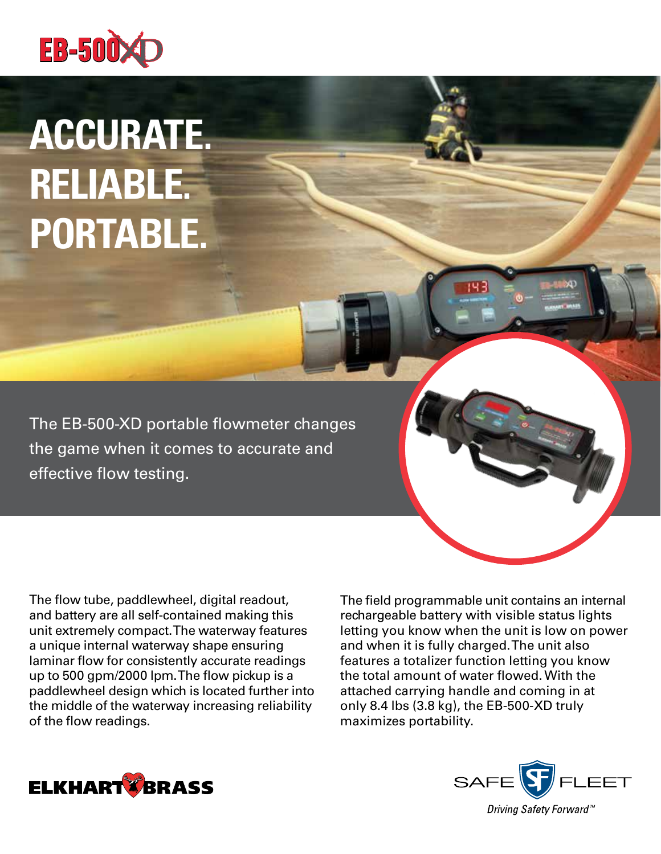

# **ACCURATE. RELIABLE. PORTABLE.**

The EB-500-XD portable flowmeter changes the game when it comes to accurate and effective flow testing.

The flow tube, paddlewheel, digital readout, and battery are all self‑contained making this unit extremely compact. The waterway features a unique internal waterway shape ensuring laminar flow for consistently accurate readings up to 500 gpm/2000 lpm. The flow pickup is a paddlewheel design which is located further into the middle of the waterway increasing reliability of the flow readings.

The field programmable unit contains an internal rechargeable battery with visible status lights letting you know when the unit is low on power and when it is fully charged. The unit also features a totalizer function letting you know the total amount of water flowed. With the attached carrying handle and coming in at only 8.4 lbs (3.8 kg), the EB-500-XD truly maximizes portability.